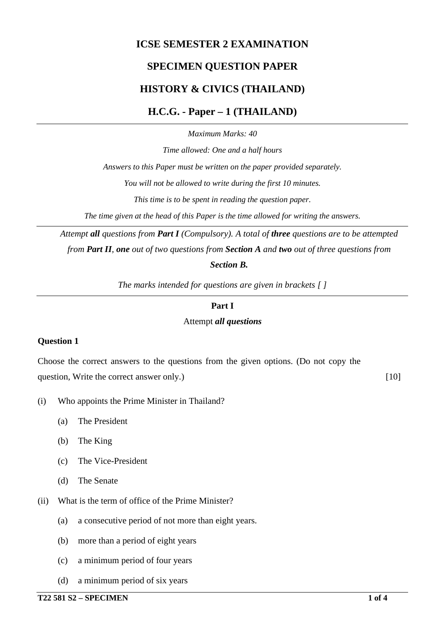# **ICSE SEMESTER 2 EXAMINATION SPECIMEN QUESTION PAPER HISTORY & CIVICS (THAILAND) H.C.G. - Paper – 1 (THAILAND)**

*Maximum Marks: 40*

*Time allowed: One and a half hours Answers to this Paper must be written on the paper provided separately. You will not be allowed to write during the first 10 minutes. This time is to be spent in reading the question paper.*

*The time given at the head of this Paper is the time allowed for writing the answers.*

*Attempt all questions from Part I (Compulsory). A total of three questions are to be attempted from Part II, one out of two questions from Section A and two out of three questions from Section B.*

*The marks intended for questions are given in brackets [ ]*

#### **Part I**

#### Attempt *all questions*

#### **Question 1**

Choose the correct answers to the questions from the given options. (Do not copy the question, Write the correct answer only.) [10]

- (i) Who appoints the Prime Minister in Thailand?
	- (a) The President
	- (b) The King
	- (c) The Vice-President
	- (d) The Senate
- (ii) What is the term of office of the Prime Minister?
	- (a) a consecutive period of not more than eight years.
	- (b) more than a period of eight years
	- (c) a minimum period of four years
	- (d) a minimum period of six years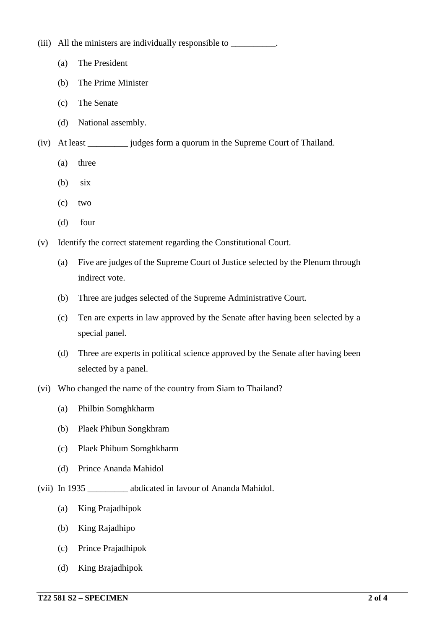(iii) All the ministers are individually responsible to \_\_\_\_\_\_\_\_\_\_\_\_.

- (a) The President
- (b) The Prime Minister
- (c) The Senate
- (d) National assembly.
- (iv) At least \_\_\_\_\_\_\_\_\_ judges form a quorum in the Supreme Court of Thailand.
	- (a) three
	- (b) six
	- (c) two
	- (d) four
- (v) Identify the correct statement regarding the Constitutional Court.
	- (a) Five are judges of the Supreme Court of Justice selected by the Plenum through indirect vote.
	- (b) Three are judges selected of the Supreme Administrative Court.
	- (c) Ten are experts in law approved by the Senate after having been selected by a special panel.
	- (d) Three are experts in political science approved by the Senate after having been selected by a panel.
- (vi) Who changed the name of the country from Siam to Thailand?
	- (a) Philbin Somghkharm
	- (b) Plaek Phibun Songkhram
	- (c) Plaek Phibum Somghkharm
	- (d) Prince Ananda Mahidol
- (vii) In 1935 \_\_\_\_\_\_\_\_\_ abdicated in favour of Ananda Mahidol.
	- (a) King Prajadhipok
	- (b) King Rajadhipo
	- (c) Prince Prajadhipok
	- (d) King Brajadhipok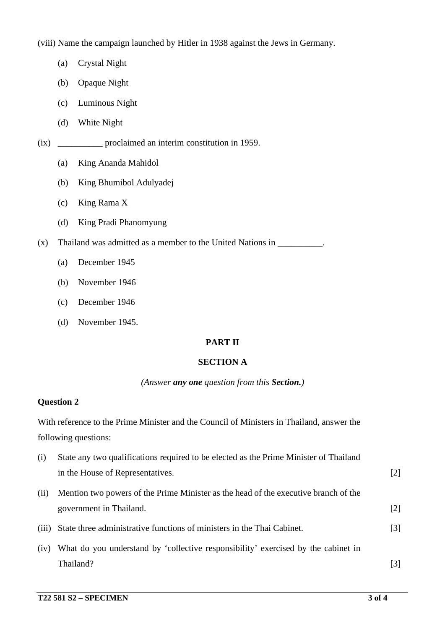(viii) Name the campaign launched by Hitler in 1938 against the Jews in Germany.

- (a) Crystal Night
- (b) Opaque Night
- (c) Luminous Night
- (d) White Night
- (ix) \_\_\_\_\_\_\_\_\_\_ proclaimed an interim constitution in 1959.
	- (a) King Ananda Mahidol
	- (b) King Bhumibol Adulyadej
	- (c) King Rama X
	- (d) King Pradi Phanomyung
- (x) Thailand was admitted as a member to the United Nations in \_\_\_\_\_\_\_\_\_\_.
	- (a) December 1945
	- (b) November 1946
	- (c) December 1946
	- (d) November 1945.

# **PART II**

# **SECTION A**

#### *(Answer any one question from this Section.)*

#### **Question 2**

With reference to the Prime Minister and the Council of Ministers in Thailand, answer the following questions:

| (i)   | State any two qualifications required to be elected as the Prime Minister of Thailand |                   |
|-------|---------------------------------------------------------------------------------------|-------------------|
|       | in the House of Representatives.                                                      | $\lceil 2 \rceil$ |
| (i)   | Mention two powers of the Prime Minister as the head of the executive branch of the   |                   |
|       | government in Thailand.                                                               | [2]               |
| (iii) | State three administrative functions of ministers in the Thai Cabinet.                | $\lceil 3 \rceil$ |
| (iv)  | What do you understand by 'collective responsibility' exercised by the cabinet in     |                   |
|       | Thailand?                                                                             | [3]               |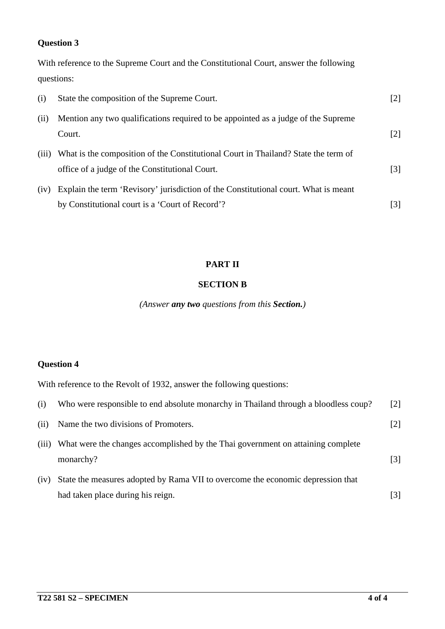### **Question 3**

With reference to the Supreme Court and the Constitutional Court, answer the following questions:

| (i)   | State the composition of the Supreme Court.                                         | $[2]$             |
|-------|-------------------------------------------------------------------------------------|-------------------|
| (i)   | Mention any two qualifications required to be appointed as a judge of the Supreme   |                   |
|       | Court.                                                                              | $\lceil 2 \rceil$ |
| (iii) | What is the composition of the Constitutional Court in Thailand? State the term of  |                   |
|       | office of a judge of the Constitutional Court.                                      | $\lceil 3 \rceil$ |
| (iv)  | Explain the term 'Revisory' jurisdiction of the Constitutional court. What is meant |                   |
|       | by Constitutional court is a 'Court of Record'?                                     | [3]               |

#### **PART II**

#### **SECTION B**

*(Answer any two questions from this Section.)*

# **Question 4**

With reference to the Revolt of 1932, answer the following questions:

| (i)   | Who were responsible to end absolute monarchy in Thailand through a bloodless coup?          | $\lceil 2 \rceil$ |
|-------|----------------------------------------------------------------------------------------------|-------------------|
| (ii)  | Name the two divisions of Promoters.                                                         | $\lceil 2 \rceil$ |
| (iii) | What were the changes accomplished by the Thai government on attaining complete<br>monarchy? | [3]               |
| (iv)  | State the measures adopted by Rama VII to overcome the economic depression that              |                   |
|       | had taken place during his reign.                                                            | $\vert 3 \vert$   |